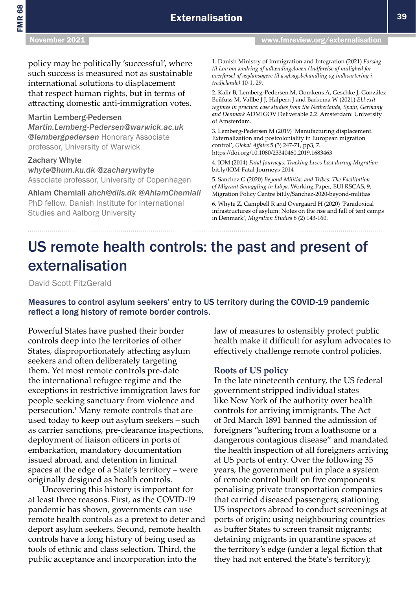# US remote health controls: the past and present of externalisation

David Scott FitzGerald

### Measures to control asylum seekers' entry to US territory during the COVID-19 pandemic reflect a long history of remote border controls.

Powerful States have pushed their border controls deep into the territories of other States, disproportionately affecting asylum seekers and often deliberately targeting them. Yet most remote controls pre-date the international refugee regime and the exceptions in restrictive immigration laws for people seeking sanctuary from violence and persecution.1 Many remote controls that are used today to keep out asylum seekers – such as carrier sanctions, pre-clearance inspections, deployment of liaison officers in ports of embarkation, mandatory documentation issued abroad, and detention in liminal spaces at the edge of a State's territory – were originally designed as health controls.

Uncovering this history is important for at least three reasons. First, as the COVID-19 pandemic has shown, governments can use remote health controls as a pretext to deter and deport asylum seekers. Second, remote health controls have a long history of being used as tools of ethnic and class selection. Third, the public acceptance and incorporation into the

law of measures to ostensibly protect public health make it difficult for asylum advocates to effectively challenge remote control policies.

## **Roots of US policy**

In the late nineteenth century, the US federal government stripped individual states like New York of the authority over health controls for arriving immigrants. The Act of 3rd March 1891 banned the admission of foreigners "suffering from a loathsome or a dangerous contagious disease" and mandated the health inspection of all foreigners arriving at US ports of entry. Over the following 35 years, the government put in place a system of remote control built on five components: penalising private transportation companies that carried diseased passengers; stationing US inspectors abroad to conduct screenings at ports of origin; using neighbouring countries as buffer States to screen transit migrants; detaining migrants in quarantine spaces at the territory's edge (under a legal fiction that they had not entered the State's territory);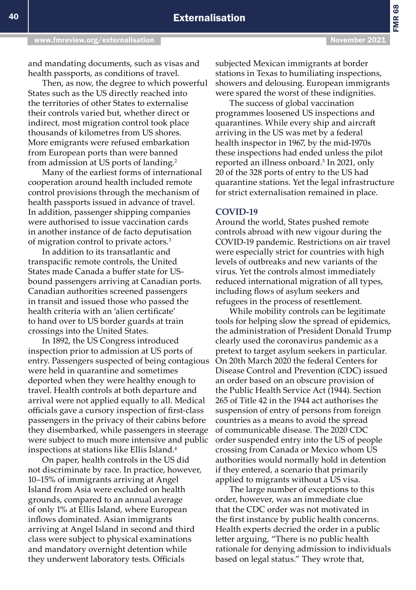and mandating documents, such as visas and health passports, as conditions of travel.

Then, as now, the degree to which powerful States such as the US directly reached into the territories of other States to externalise their controls varied but, whether direct or indirect, most migration control took place thousands of kilometres from US shores. More emigrants were refused embarkation from European ports than were banned from admission at US ports of landing.<sup>2</sup>

Many of the earliest forms of international cooperation around health included remote control provisions through the mechanism of health passports issued in advance of travel. In addition, passenger shipping companies were authorised to issue vaccination cards in another instance of de facto deputisation of migration control to private actors.<sup>3</sup>

In addition to its transatlantic and transpacific remote controls, the United States made Canada a buffer state for USbound passengers arriving at Canadian ports. Canadian authorities screened passengers in transit and issued those who passed the health criteria with an 'alien certificate' to hand over to US border guards at train crossings into the United States.

In 1892, the US Congress introduced inspection prior to admission at US ports of entry. Passengers suspected of being contagious were held in quarantine and sometimes deported when they were healthy enough to travel. Health controls at both departure and arrival were not applied equally to all. Medical officials gave a cursory inspection of first-class passengers in the privacy of their cabins before they disembarked, while passengers in steerage were subject to much more intensive and public inspections at stations like Ellis Island.4

On paper, health controls in the US did not discriminate by race. In practice, however, 10–15% of immigrants arriving at Angel Island from Asia were excluded on health grounds, compared to an annual average of only 1% at Ellis Island, where European inflows dominated. Asian immigrants arriving at Angel Island in second and third class were subject to physical examinations and mandatory overnight detention while they underwent laboratory tests. Officials

subjected Mexican immigrants at border stations in Texas to humiliating inspections, showers and delousing. European immigrants were spared the worst of these indignities.

The success of global vaccination programmes loosened US inspections and quarantines. While every ship and aircraft arriving in the US was met by a federal health inspector in 1967, by the mid-1970s these inspections had ended unless the pilot reported an illness onboard.5 In 2021, only 20 of the 328 ports of entry to the US had quarantine stations. Yet the legal infrastructure for strict externalisation remained in place.

#### **COVID-19**

Around the world, States pushed remote controls abroad with new vigour during the COVID-19 pandemic. Restrictions on air travel were especially strict for countries with high levels of outbreaks and new variants of the virus. Yet the controls almost immediately reduced international migration of all types, including flows of asylum seekers and refugees in the process of resettlement.

While mobility controls can be legitimate tools for helping slow the spread of epidemics, the administration of President Donald Trump clearly used the coronavirus pandemic as a pretext to target asylum seekers in particular. On 20th March 2020 the federal Centers for Disease Control and Prevention (CDC) issued an order based on an obscure provision of the Public Health Service Act (1944). Section 265 of Title 42 in the 1944 act authorises the suspension of entry of persons from foreign countries as a means to avoid the spread of communicable disease. The 2020 CDC order suspended entry into the US of people crossing from Canada or Mexico whom US authorities would normally hold in detention if they entered, a scenario that primarily applied to migrants without a US visa.

The large number of exceptions to this order, however, was an immediate clue that the CDC order was not motivated in the first instance by public health concerns. Health experts decried the order in a public letter arguing, "There is no public health rationale for denying admission to individuals based on legal status." They wrote that,